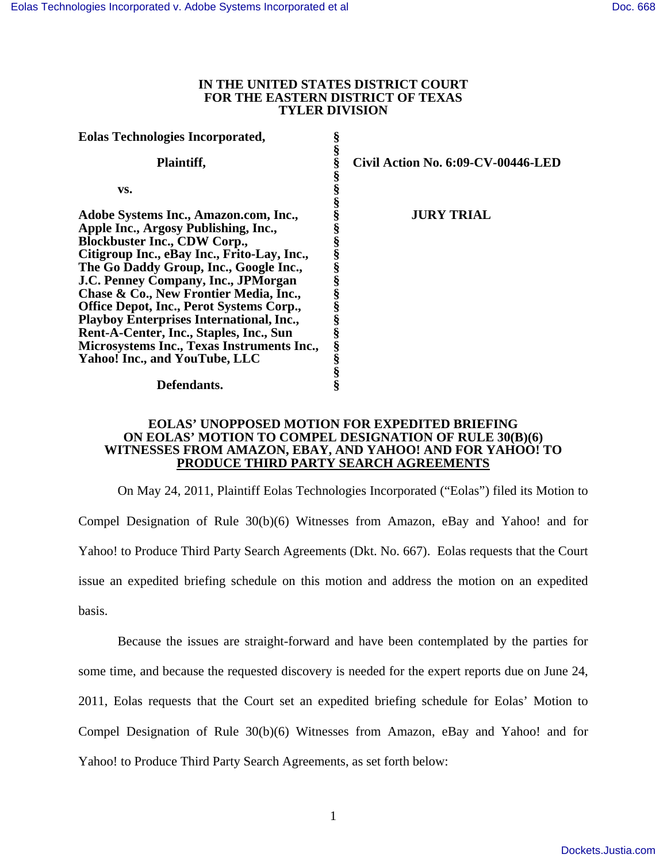### **IN THE UNITED STATES DISTRICT COURT FOR THE EASTERN DISTRICT OF TEXAS TYLER DIVISION**

| <b>Eolas Technologies Incorporated,</b>         |   |                                    |
|-------------------------------------------------|---|------------------------------------|
| Plaintiff,                                      |   | Civil Action No. 6:09-CV-00446-LED |
| VS.                                             |   |                                    |
| Adobe Systems Inc., Amazon.com, Inc.,           |   | <b>JURY TRIAL</b>                  |
| Apple Inc., Argosy Publishing, Inc.,            |   |                                    |
| <b>Blockbuster Inc., CDW Corp.,</b>             |   |                                    |
| Citigroup Inc., eBay Inc., Frito-Lay, Inc.,     |   |                                    |
| The Go Daddy Group, Inc., Google Inc.,          |   |                                    |
| J.C. Penney Company, Inc., JPMorgan             |   |                                    |
| Chase & Co., New Frontier Media, Inc.,          |   |                                    |
| Office Depot, Inc., Perot Systems Corp.,        |   |                                    |
| <b>Playboy Enterprises International, Inc.,</b> |   |                                    |
| Rent-A-Center, Inc., Staples, Inc., Sun         | § |                                    |
| Microsystems Inc., Texas Instruments Inc.,      | ş |                                    |
| Yahoo! Inc., and YouTube, LLC                   |   |                                    |
|                                                 |   |                                    |
| Defendants.                                     |   |                                    |

#### **EOLAS' UNOPPOSED MOTION FOR EXPEDITED BRIEFING ON EOLAS' MOTION TO COMPEL DESIGNATION OF RULE 30(B)(6) WITNESSES FROM AMAZON, EBAY, AND YAHOO! AND FOR YAHOO! TO PRODUCE THIRD PARTY SEARCH AGREEMENTS**

On May 24, 2011, Plaintiff Eolas Technologies Incorporated ("Eolas") filed its Motion to Compel Designation of Rule 30(b)(6) Witnesses from Amazon, eBay and Yahoo! and for Yahoo! to Produce Third Party Search Agreements (Dkt. No. 667). Eolas requests that the Court issue an expedited briefing schedule on this motion and address the motion on an expedited basis.

Because the issues are straight-forward and have been contemplated by the parties for some time, and because the requested discovery is needed for the expert reports due on June 24, 2011, Eolas requests that the Court set an expedited briefing schedule for Eolas' Motion to Compel Designation of Rule 30(b)(6) Witnesses from Amazon, eBay and Yahoo! and for Yahoo! to Produce Third Party Search Agreements, as set forth below: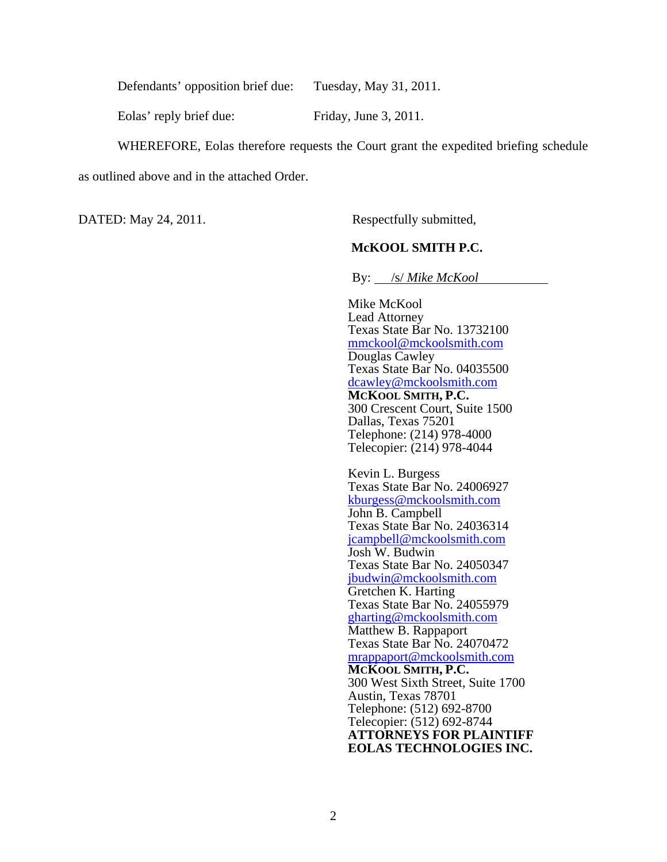Defendants' opposition brief due: Tuesday, May 31, 2011.

Eolas' reply brief due: Friday, June 3, 2011.

WHEREFORE, Eolas therefore requests the Court grant the expedited briefing schedule

as outlined above and in the attached Order.

DATED: May 24, 2011. Respectfully submitted,

### **McKOOL SMITH P.C.**

By: /s/ *Mike McKool* 

 Mike McKool Lead Attorney Texas State Bar No. 13732100 mmckool@mckoolsmith.com Douglas Cawley Texas State Bar No. 04035500 dcawley@mckoolsmith.com **MCKOOL SMITH, P.C.**  300 Crescent Court, Suite 1500 Dallas, Texas 75201 Telephone: (214) 978-4000 Telecopier: (214) 978-4044

Kevin L. Burgess Texas State Bar No. 24006927 kburgess@mckoolsmith.com John B. Campbell Texas State Bar No. 24036314 jcampbell@mckoolsmith.com Josh W. Budwin Texas State Bar No. 24050347 jbudwin@mckoolsmith.com Gretchen K. Harting Texas State Bar No. 24055979 gharting@mckoolsmith.com Matthew B. Rappaport Texas State Bar No. 24070472 mrappaport@mckoolsmith.com **MCKOOL SMITH, P.C.**  300 West Sixth Street, Suite 1700 Austin, Texas 78701 Telephone: (512) 692-8700 Telecopier: (512) 692-8744 **ATTORNEYS FOR PLAINTIFF EOLAS TECHNOLOGIES INC.**